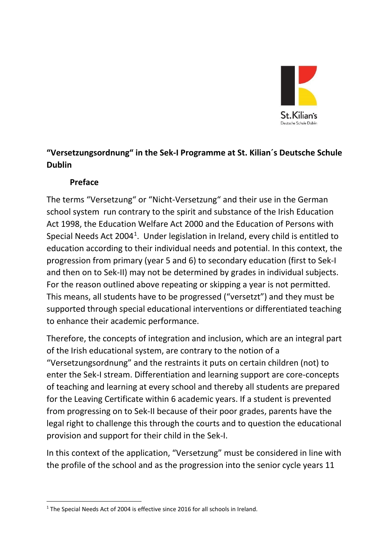

## **"Versetzungsordnung" in the Sek-I Programme at St. Kilian´s Deutsche Schule Dublin**

#### **Preface**

The terms "Versetzung" or "Nicht-Versetzung" and their use in the German school system run contrary to the spirit and substance of the Irish Education Act 1998, the Education Welfare Act 2000 and the Education of Persons with Special Needs Act 2004<sup>[1](#page-0-0)</sup>. Under legislation in Ireland, every child is entitled to education according to their individual needs and potential. In this context, the progression from primary (year 5 and 6) to secondary education (first to Sek-I and then on to Sek-II) may not be determined by grades in individual subjects. For the reason outlined above repeating or skipping a year is not permitted. This means, all students have to be progressed ("versetzt") and they must be supported through special educational interventions or differentiated teaching to enhance their academic performance.

Therefore, the concepts of integration and inclusion, which are an integral part of the Irish educational system, are contrary to the notion of a "Versetzungsordnung" and the restraints it puts on certain children (not) to enter the Sek-I stream. Differentiation and learning support are core-concepts of teaching and learning at every school and thereby all students are prepared for the Leaving Certificate within 6 academic years. If a student is prevented from progressing on to Sek-II because of their poor grades, parents have the legal right to challenge this through the courts and to question the educational provision and support for their child in the Sek-I.

In this context of the application, "Versetzung" must be considered in line with the profile of the school and as the progression into the senior cycle years 11

<span id="page-0-0"></span><sup>&</sup>lt;sup>1</sup> The Special Needs Act of 2004 is effective since 2016 for all schools in Ireland.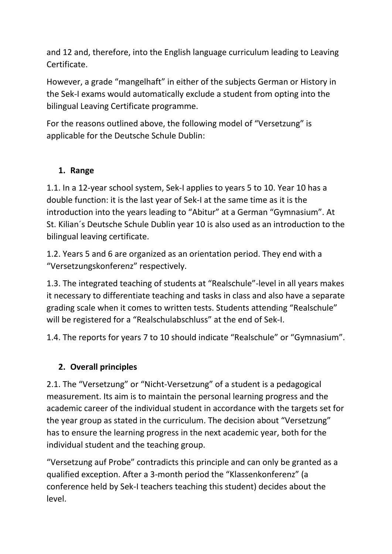and 12 and, therefore, into the English language curriculum leading to Leaving Certificate.

However, a grade "mangelhaft" in either of the subjects German or History in the Sek-I exams would automatically exclude a student from opting into the bilingual Leaving Certificate programme.

For the reasons outlined above, the following model of "Versetzung" is applicable for the Deutsche Schule Dublin:

#### **1. Range**

1.1. In a 12-year school system, Sek-I applies to years 5 to 10. Year 10 has a double function: it is the last year of Sek-I at the same time as it is the introduction into the years leading to "Abitur" at a German "Gymnasium". At St. Kilian´s Deutsche Schule Dublin year 10 is also used as an introduction to the bilingual leaving certificate.

1.2. Years 5 and 6 are organized as an orientation period. They end with a "Versetzungskonferenz" respectively.

1.3. The integrated teaching of students at "Realschule"-level in all years makes it necessary to differentiate teaching and tasks in class and also have a separate grading scale when it comes to written tests. Students attending "Realschule" will be registered for a "Realschulabschluss" at the end of Sek-I.

1.4. The reports for years 7 to 10 should indicate "Realschule" or "Gymnasium".

## **2. Overall principles**

2.1. The "Versetzung" or "Nicht-Versetzung" of a student is a pedagogical measurement. Its aim is to maintain the personal learning progress and the academic career of the individual student in accordance with the targets set for the year group as stated in the curriculum. The decision about "Versetzung" has to ensure the learning progress in the next academic year, both for the individual student and the teaching group.

"Versetzung auf Probe" contradicts this principle and can only be granted as a qualified exception. After a 3-month period the "Klassenkonferenz" (a conference held by Sek-I teachers teaching this student) decides about the level.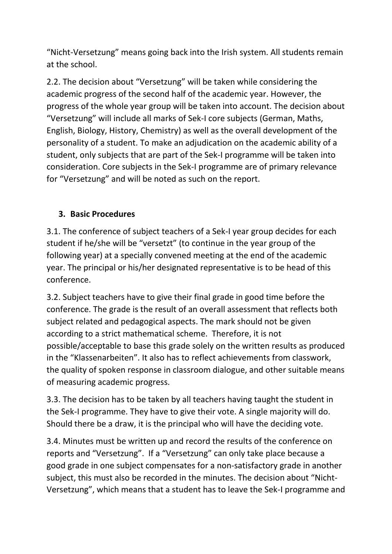"Nicht-Versetzung" means going back into the Irish system. All students remain at the school.

2.2. The decision about "Versetzung" will be taken while considering the academic progress of the second half of the academic year. However, the progress of the whole year group will be taken into account. The decision about "Versetzung" will include all marks of Sek-I core subjects (German, Maths, English, Biology, History, Chemistry) as well as the overall development of the personality of a student. To make an adjudication on the academic ability of a student, only subjects that are part of the Sek-I programme will be taken into consideration. Core subjects in the Sek-I programme are of primary relevance for "Versetzung" and will be noted as such on the report.

## **3. Basic Procedures**

3.1. The conference of subject teachers of a Sek-I year group decides for each student if he/she will be "versetzt" (to continue in the year group of the following year) at a specially convened meeting at the end of the academic year. The principal or his/her designated representative is to be head of this conference.

3.2. Subject teachers have to give their final grade in good time before the conference. The grade is the result of an overall assessment that reflects both subject related and pedagogical aspects. The mark should not be given according to a strict mathematical scheme. Therefore, it is not possible/acceptable to base this grade solely on the written results as produced in the "Klassenarbeiten". It also has to reflect achievements from classwork, the quality of spoken response in classroom dialogue, and other suitable means of measuring academic progress.

3.3. The decision has to be taken by all teachers having taught the student in the Sek-I programme. They have to give their vote. A single majority will do. Should there be a draw, it is the principal who will have the deciding vote.

3.4. Minutes must be written up and record the results of the conference on reports and "Versetzung". If a "Versetzung" can only take place because a good grade in one subject compensates for a non-satisfactory grade in another subject, this must also be recorded in the minutes. The decision about "Nicht-Versetzung", which means that a student has to leave the Sek-I programme and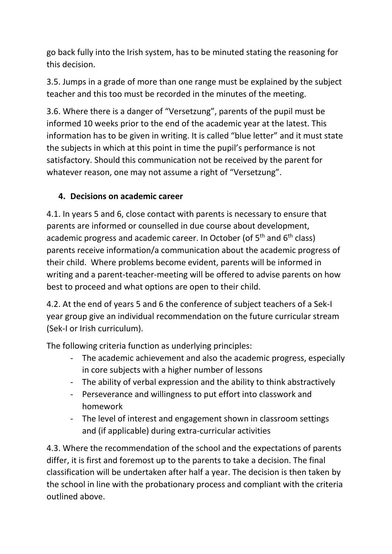go back fully into the Irish system, has to be minuted stating the reasoning for this decision.

3.5. Jumps in a grade of more than one range must be explained by the subject teacher and this too must be recorded in the minutes of the meeting.

3.6. Where there is a danger of "Versetzung", parents of the pupil must be informed 10 weeks prior to the end of the academic year at the latest. This information has to be given in writing. It is called "blue letter" and it must state the subjects in which at this point in time the pupil's performance is not satisfactory. Should this communication not be received by the parent for whatever reason, one may not assume a right of "Versetzung".

#### **4. Decisions on academic career**

4.1. In years 5 and 6, close contact with parents is necessary to ensure that parents are informed or counselled in due course about development, academic progress and academic career. In October (of 5<sup>th</sup> and 6<sup>th</sup> class) parents receive information/a communication about the academic progress of their child. Where problems become evident, parents will be informed in writing and a parent-teacher-meeting will be offered to advise parents on how best to proceed and what options are open to their child.

4.2. At the end of years 5 and 6 the conference of subject teachers of a Sek-I year group give an individual recommendation on the future curricular stream (Sek-I or Irish curriculum).

The following criteria function as underlying principles:

- The academic achievement and also the academic progress, especially in core subjects with a higher number of lessons
- The ability of verbal expression and the ability to think abstractively
- Perseverance and willingness to put effort into classwork and homework
- The level of interest and engagement shown in classroom settings and (if applicable) during extra-curricular activities

4.3. Where the recommendation of the school and the expectations of parents differ, it is first and foremost up to the parents to take a decision. The final classification will be undertaken after half a year. The decision is then taken by the school in line with the probationary process and compliant with the criteria outlined above.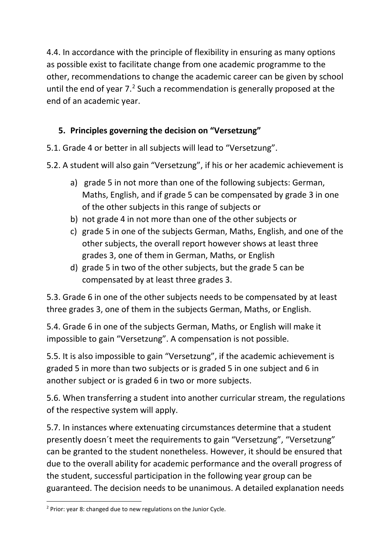4.4. In accordance with the principle of flexibility in ensuring as many options as possible exist to facilitate change from one academic programme to the other, recommendations to change the academic career can be given by school until the end of year  $7<sup>2</sup>$  $7<sup>2</sup>$  $7<sup>2</sup>$  Such a recommendation is generally proposed at the end of an academic year.

# **5. Principles governing the decision on "Versetzung"**

- 5.1. Grade 4 or better in all subjects will lead to "Versetzung".
- 5.2. A student will also gain "Versetzung", if his or her academic achievement is
	- a) grade 5 in not more than one of the following subjects: German, Maths, English, and if grade 5 can be compensated by grade 3 in one of the other subjects in this range of subjects or
	- b) not grade 4 in not more than one of the other subjects or
	- c) grade 5 in one of the subjects German, Maths, English, and one of the other subjects, the overall report however shows at least three grades 3, one of them in German, Maths, or English
	- d) grade 5 in two of the other subjects, but the grade 5 can be compensated by at least three grades 3.

5.3. Grade 6 in one of the other subjects needs to be compensated by at least three grades 3, one of them in the subjects German, Maths, or English.

5.4. Grade 6 in one of the subjects German, Maths, or English will make it impossible to gain "Versetzung". A compensation is not possible.

5.5. It is also impossible to gain "Versetzung", if the academic achievement is graded 5 in more than two subjects or is graded 5 in one subject and 6 in another subject or is graded 6 in two or more subjects.

5.6. When transferring a student into another curricular stream, the regulations of the respective system will apply.

5.7. In instances where extenuating circumstances determine that a student presently doesn´t meet the requirements to gain "Versetzung", "Versetzung" can be granted to the student nonetheless. However, it should be ensured that due to the overall ability for academic performance and the overall progress of the student, successful participation in the following year group can be guaranteed. The decision needs to be unanimous. A detailed explanation needs

<span id="page-4-0"></span> $2$  Prior: year 8: changed due to new regulations on the Junior Cycle.